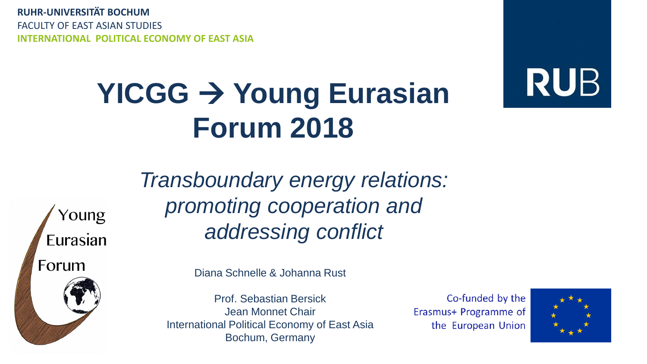**RUHR-UNIVERSITÄT BOCHUM** FACULTY OF EAST ASIAN STUDIES **INTERNATIONAL POLITICAL ECONOMY OF EAST ASIA**

## **YICGG** → **Young Eurasian Forum 2018**



Young Eurasian Forum

*Transboundary energy relations: promoting cooperation and addressing conflict*

Diana Schnelle & Johanna Rust

Prof. Sebastian Bersick Jean Monnet Chair International Political Economy of East Asia Bochum, Germany

Co-funded by the Erasmus+ Programme of the European Union

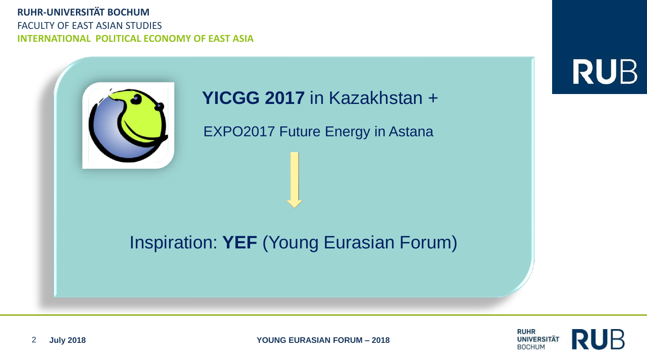#### **RUHR-UNIVERSITÄT BOCHUM** FACULTY OF EAST ASIAN STUDIES **INTERNATIONAL POLITICAL ECONOMY OF EAST ASIA**

**RUB** 

### **YICGG 2017** in Kazakhstan +

EXPO2017 Future Energy in Astana

### Inspiration: **YEF** (Young Eurasian Forum)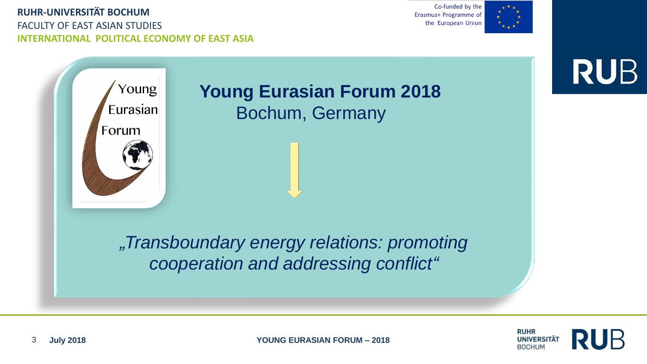FACULTY OF EAST ASIAN STUDIES **INTERNATIONAL POLITICAL ECONOMY OF EAST ASIA**

Co-funded by the Erasmus+ Programme of the European Union



**RUB** 



*"Transboundary energy relations: promoting cooperation and addressing conflict"*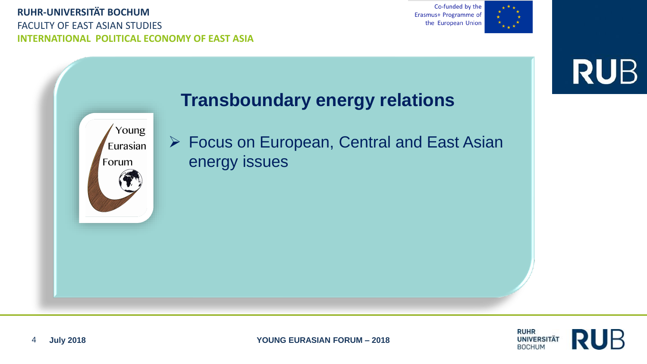FACULTY OF EAST ASIAN STUDIES **INTERNATIONAL POLITICAL ECONOMY OF EAST ASIA**

Co-funded by the Erasmus+ Programme of the European Union



**RUB** 



### **Transboundary energy relations**

➢ Focus on European, Central and East Asian energy issues

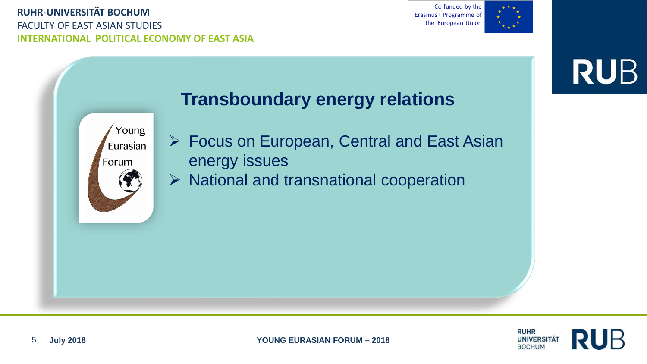FACULTY OF EAST ASIAN STUDIES **INTERNATIONAL POLITICAL ECONOMY OF EAST ASIA**

Co-funded by the Erasmus+ Programme of the European Union



**RUB** 



### **Transboundary energy relations**

- ➢ Focus on European, Central and East Asian energy issues
- ➢ National and transnational cooperation

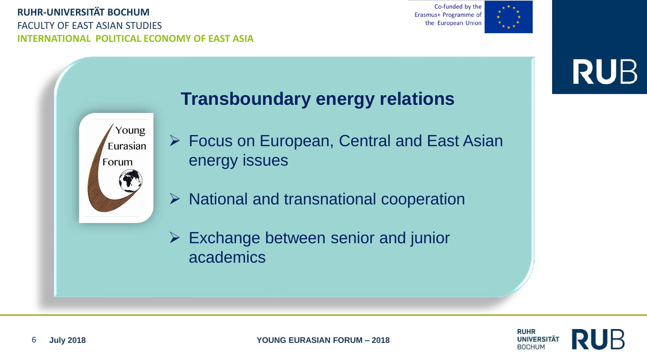FACULTY OF EAST ASIAN STUDIES **INTERNATIONAL POLITICAL ECONOMY OF EAST ASIA**

Co-funded by the Erasmus+ Programme of the European Union



**RUB** 



### **Transboundary energy relations**

- ➢ Focus on European, Central and East Asian energy issues
- ➢ National and transnational cooperation
- ➢ Exchange between senior and junior academics

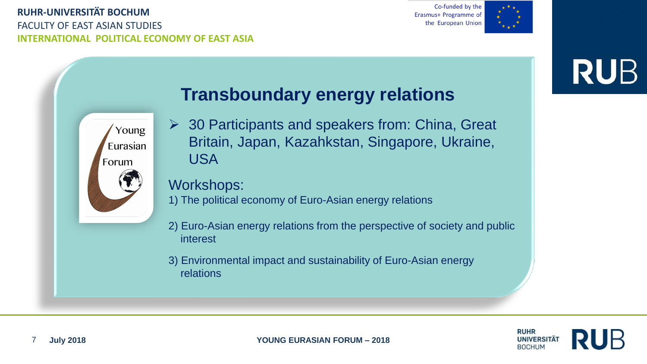#### **RUHR-UNIVERSITÄT BOCHUM** FACULTY OF EAST ASIAN STUDIES **INTERNATIONAL POLITICAL ECONOMY OF EAST ASIA**

Co-funded by the Erasmus+ Programme of the European Union



## **RUB**



### **Transboundary energy relations**

 $\geq$  30 Participants and speakers from: China, Great Britain, Japan, Kazahkstan, Singapore, Ukraine, USA

#### Workshops:

1) The political economy of Euro-Asian energy relations

- 2) Euro-Asian energy relations from the perspective of society and public interest
- 3) Environmental impact and sustainability of Euro-Asian energy relations

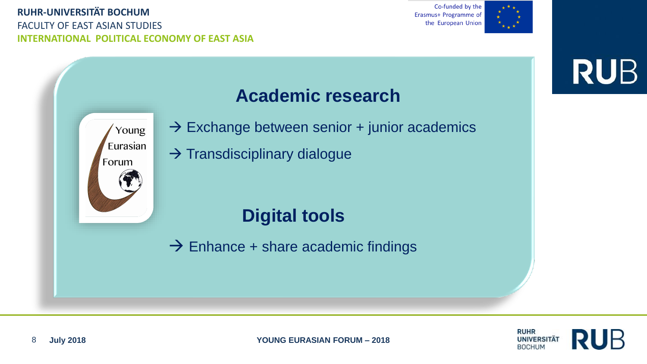FACULTY OF EAST ASIAN STUDIES **INTERNATIONAL POLITICAL ECONOMY OF EAST ASIA**

Co-funded by the Erasmus+ Programme of the European Union



## **RUB**

## Young Eurasian Forum

## **Academic research**

- $\rightarrow$  Exchange between senior + junior academics
- $\rightarrow$  Transdisciplinary dialogue

## **Digital tools**

 $\rightarrow$  Enhance + share academic findings

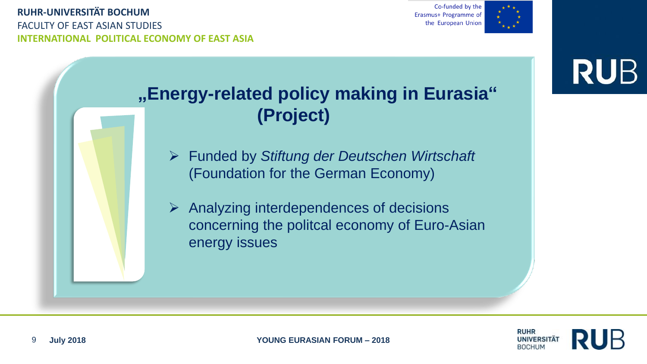Co-funded by the Erasmus+ Programme of the European Union



# **RUB**

## **"Energy-related policy making in Eurasia" (Project)**

- ➢ Funded by *Stiftung der Deutschen Wirtschaft* (Foundation for the German Economy)
- $\triangleright$  Analyzing interdependences of decisions concerning the politcal economy of Euro-Asian energy issues

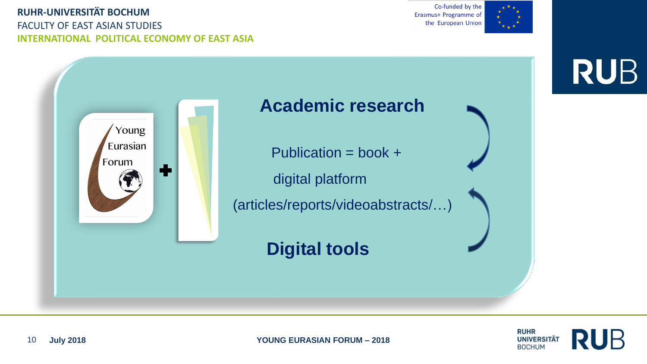FACULTY OF EAST ASIAN STUDIES **INTERNATIONAL POLITICAL ECONOMY OF EAST ASIA**

Co-funded by the Erasmus+ Programme of the European Union



## **RUB**

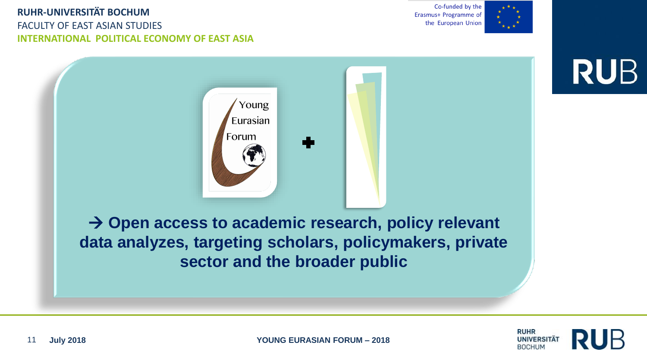#### FACULTY OF EAST ASIAN STUDIES **INTERNATIONAL POLITICAL ECONOMY OF EAST ASIA**

Co-funded by the Erasmus+ Programme of the European Union



**RUB** 

→ **Open access to academic research, policy relevant data analyzes, targeting scholars, policymakers, private sector and the broader public**

Young Eurasian

Forum